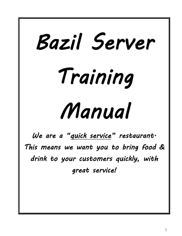# *Bazil Server Training Manual*

*We are a "quick service" restaurant. This means we want you to bring food & drink to your customers quickly, with great service!*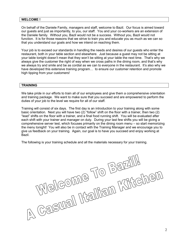#### **WELCOME !**

On behalf of the Daniele Family, managers and staff, welcome to Bazil. Our focus is aimed toward our guests and just as importantly, to you, our staff. You and your co-workers are an extension of the Daniele family. Without you, Bazil would not be a success. Without you, Bazil would not function. It is for those reasons that we strive to train you and educate you as much as we can so that you understand our goals and how we intend on reaching them.

Your job is to exceed our standards in handling the needs and desires of our guests who enter the restaurant, both in your table section and elsewhere. Just because a guest may not be sitting at your table tonight doesn't mean that they won't be sitting at your table the next time. That's why we always give the customer the right of way when we cross paths in the dining room, and that's why we always try and smile and be as cordial as we can to everyone in the restaurant. It's also why we have developed this extensive training program... to ensure our customer retention and promote high tipping from your customers!

#### **TRAINING**

We take pride in our efforts to train all of our employees and give them a comprehensive orientation and training package. We want to make sure that you succeed and are empowered to perform the duties of your job to the level we require for all of our staff.

Training will consist of six days. The first day is an introduction to your training along with some basic orientation. Next you will have two (2) "follow" shift on the floor with a trainer, then two (2) "lead" shifts on the floor with a trainer, and a final food running shift. You will be evaluated after each shift with your trainer and manager on duty. During your last few shifts you will be giving a comprehensive server test, which focuses primarily on the dining room menu – so start memorizing the menu tonight! You will also be in contact with the Training Manager and we encourage you to give us feedback on your training. Again, our goal is to have you succeed and enjoy working at Bazil.

The following is your training schedule and all the materials necessary for your training.<br>
The MCOMMG TTO BEZAMA<br>
MCOMMG TTO BEZAMA<br>
MCOMMG TTO BEZAMA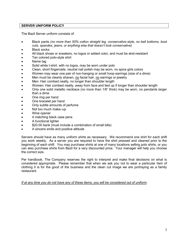# **SERVER UNIFORM POLICY**

The Bazil Server uniform consists of:

- Black pants *(no more than 50% cotton straight leg, conservative-style, no bell bottoms, boot cuts, spandex, jeans, or anything else that doesn't look conservative)*
- Black socks
- All black shoes or sneakers, no logos or added color, and must be skid-resistant
- Tan colored polo-style shirt
- Name tag
- Solid white t-shirt, with no logos, may be worn under polo
- Clean, short fingernails: neutral nail polish may be worn, no spice girls colors
- Women may wear one pair of non-hanging or small hoop earrings (size of a dime)
- Men must be cleanly shaven, no facial hair, no earrings or jewelry
- Men: Hair combed neatly, no longer than shoulder length
- Women: Hair combed neatly, away from face and tied up if longer than shoulder length
- Only one solid metallic necklace (no more than 1/8" thick) may be worn, no pendants larger than a dime
- One ring per hand
- One bracelet per hand
- Only subtle amounts of perfume
- Not too much make–up
- Wine opener
- 4 matching black case pens
- A functional lighter
- $$20.00$  bank (must include a combination of small bills)
- A sincere smile and positive attitude

Servers should have as many uniform shirts as necessary. We recommend one shirt for each shift you work weekly. As a server you are required to have the shirt pressed and cleaned prior to the beginning of each shift. You may purchase shirts at one of many locations selling polo shirts, or you can also purchase shirts from Bazil for a very discounted price. Your manager will help you choose the correct size.

Per handbook, The Company reserves the right to interpret and make final decisions on what is considered appropriate. Please remember that when we ask you not to wear a particular item of clothing it is for the good of the business and the clean cut image we are portraying as a family restaurant.

*If at any time you do not have any of these items, you will be considered out of uniform*.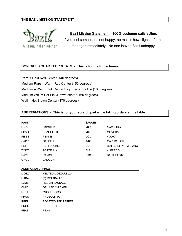#### **THE BAZIL MISSION STATEMENT**



# Bazil Mission Statement: 100% customer satisfaction.

If you feel someone is not happy, no matter how slight, inform a manager immediately. No one leaves Bazil unhappy.

# **DONENESS CHART FOR MEATS - This is for the Porterhouse**

Rare = Cold Red Center (140 degrees)

Medium Rare = Warm Red Center (150 degrees)

Medium = Warm Pink Center/Slight red in middle (160 degrees)

Medium Well = Hot Pink/Brown center (165 degrees)

Well = Hot Brown Center (170 degrees)

#### **ABBREVIATIONS - This is for your scratch pad while taking orders at the table**

| <b>PASTA</b>               |                           | <b>SAUCES</b> |                                |  |  |
|----------------------------|---------------------------|---------------|--------------------------------|--|--|
| <b>LING</b>                | <b>LINGUINE</b>           | <b>MAR</b>    | <b>MARINARA</b>                |  |  |
| <b>SPAG</b>                | <b>SPAGHETTI</b>          | <b>MTS</b>    | <b>MEAT SAUCE</b>              |  |  |
| <b>PENN</b>                | <b>PENNE</b>              | <b>VOD</b>    | <b>VODKA</b>                   |  |  |
| CAPP                       | CAPPFI I INI              | A&O           | <b>GARLIC &amp; OIL</b>        |  |  |
| <b>FETT</b>                | <b>FETTUCCINE</b>         | <b>BUT</b>    | <b>BUTTER &amp; PARMIGIANO</b> |  |  |
| <b>TORT</b>                | <b>TORTELLINI</b>         | AI F          | <b>ALFREDO</b>                 |  |  |
| <b>RAVI</b>                | <b>RAVIOLI</b>            | <b>BAS</b>    | <b>BASIL PESTO</b>             |  |  |
| <b>GNOC</b>                | <b>GNOCCHI</b>            |               |                                |  |  |
|                            |                           |               |                                |  |  |
| <b>ADDITIONS/TOPPINGS:</b> |                           |               |                                |  |  |
| <b>MOZZ</b>                | <b>MELTED MOZZARELLA</b>  |               |                                |  |  |
| <b>MTBA</b>                | (3) MEATBALLS             |               |                                |  |  |
| <b>SAUS</b>                | <b>ITALIAN SAUSAGE</b>    |               |                                |  |  |
| <b>CHIX</b>                | <b>GRILLED CHICKEN</b>    |               |                                |  |  |
| <b>MUSH</b>                | <b>MUSHROOMS</b>          |               |                                |  |  |
| <b>PROS</b>                | <b>PROSCUITTO</b>         |               |                                |  |  |
| <b>RPEP</b>                | <b>ROASTED RED PEPPER</b> |               |                                |  |  |
| <b>BROC</b>                | <b>BROCCOLI</b>           |               |                                |  |  |
| <b>PEAS</b>                | <b>PEAS</b>               |               |                                |  |  |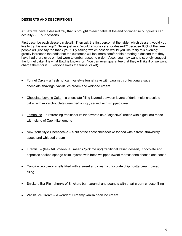# **DESSERTS AND DESCRIPTIONS**

At Bazil we have a dessert tray that is brought to each table at the end of dinner so our guests can actually SEE our desserts.

First describe each dessert in detail. Then ask the first person at the table "which dessert would you like to try this evening?" Never just ask, "would anyone care for dessert?" because 93% of the time people will just say "no thank you." By asking "which dessert would you like to try this evening" greatly increases the odds that the customer will feel more comfortable ordering a dessert that they have had there eyes on, but were to embarrassed to order. Also, you may want to strongly suggest the funnel cake, it is what Bazil is known for. You can even guarantee that they will like it or we wont charge them for it. (Everyone loves the funnel cake!)

- Funnel Cake a fresh hot carnival-style funnel cake with caramel, confectionary sugar, chocolate shavings, vanilla ice cream and whipped cream
- Chocolate Lover's Cake a chocolate filling layered between layers of dark, moist chocolate cake, with more chocolate drenched on top, served with whipped cream
- Lemon Ice a refreshing traditional Italian favorite as a "digestivo" (helps with digestion) made with Island of Capri-like lemons
- New York Style Cheesecake a cut of the finest cheesecake topped with a fresh strawberry sauce and whipped cream
- Tiramisu (tee-RAH-mee-sue means "pick me up") traditional Italian dessert, chocolate and espresso soaked sponge cake layered with fresh whipped sweet marscapone cheese and cocoa
- Canoli two canoli shells filled with a sweet and creamy chocolate chip ricotta cream based filling
- Snickers Bar Pie –chunks of Snickers bar, caramel and peanuts with a tart cream cheese filling
- Vanilla Ice Cream a wonderful creamy vanilla bean ice cream.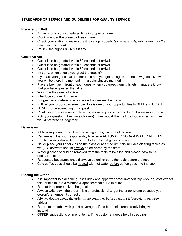# **Prepare for Shift**

- Arrive prior to your scheduled time in proper uniform
- Clock in under the correct job assignment
- Check your station to make sure it is set up properly *(silverware rolls, b&b plates, booths and chairs cleaned)*
- Review the night's **86** items if any

# **Guest Arrival**

- Guest is to be greeted within 60 seconds of arrival
- Guest is to be greeted within 60 seconds of arrival
- Guest is to be greeted within 60 seconds of arrival
- Im sorry, when should you greet the guests?
- If you are with guests at another table and you get sat again, let the new guests know you will be there in a moment – in a calm sincere manner!
- Place a bev nap in front of each guest when you greet them, this lets managers know that you have greeted the table
- Welcome the guests to Bazil
- Introduce yourself by name
- Suggest an appetizer to enjoy while they review the menu
- KNOW your product remember, this is one of your opportunities to SELL and UPSELL
- NEVER force something on a guest
- READ your guests anticipate and customize your service to them Formal/non Formal
- ASK your guests (if they have children) if they would like the kids food rushed or if they would prefer to eat together.

# **Beverages**

- All beverages are to be delivered using a tray, except bottled wine
- Remember, it is your responsibility to ensure AUTOMATIC SODA & WATER REFILLS
- Empty glasses should be removed before the full glass is replaced
- Never place your fingers inside the glass or near the rim (this includes clearing tables as well). Glassware should always be delivered by the stem
- Water glasses should be removed from the table to be filled and placed back to its original location
- Requested beverages should always be delivered to the table before the food
- Cold coffee cups should be heated with hot water before coffee goes into the cup

# **Placing the Order**

- It is important to place the quest's drink and appetizer order immediately your quests expect this (drinks take 2-3 minutes & appetizers take 4-8 minutes)
- Repeat the order back to the guest
- Always write down the order it is unprofessional to get the order wrong because you couldn't remember it correctly
- Always double check the order in the computer before sending it (especially on large tables)
- Return to the table with quest beverages, if the bar drinks aren't ready bring water instead
- OFFER suggestions on menu items, if the customer needs help in deciding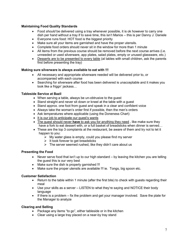# **Maintaining Food Quality Standards**

- Food *should* be delivered using a tray whenever possible, it is ok however to carry one dish per hand without a tray if to save time, this isn't Marios – this is per Danny J. Daniele
- Everyone runs food: HOT food is the biggest priority
- Make sure all your items are garnished and have the proper utensils.
- Complete food orders should never sit in the window for more than 1 minute
- All items from the previous course should be removed before the next course arrives (i.e. unneeded or used silverware, app plates, salad plates, empty or unused glassware, etc.)
- Desserts are to be presented to every table (at tables with small children, ask the parents first before presenting the tray)

# **Making sure silverware is always available to eat with !!!**

- All necessary and appropriate silverware needed will be delivered prior to, or accompanied with each course
- Searching for silverware after food has been delivered is unacceptable and it makes you look like a friggn' jackass…

#### **Tableside Service at Bazil**

- When serving a table, always be un-obtrusive to the guest
- Stand straight and never sit down or kneel at the table with a guest
- Stand approx. one foot from guest and speak in a clear and confident voice
- Always take the woman's order first if possible, then the men's orders
- Ask temperatures where applicable (using the Doneness Chart)
- It is our job to anticipate our guest's wants
- The guest should never **have** to ask you for anything they need , like make sure they have a fork to eat dessert with, or a full basket of breadsticks when dinner is served…
- These are the top 3 complaints at the restaurant, be aware of them and try not to let it happen to you:
	- $\triangleright$  My water glass is empty, could you please find my server
	- $\triangleright$  It took forever to get breadsticks
	- $\triangleright$  The server seemed rushed, like they didn't care about us

# **Presenting the Food**

- Never serve food that isn't up to our high standard by leaving the kitchen you are telling the guest this is our very best
- Make sure the dish is properly garnished !!!
- Make sure the proper utensils are available !!! ie. Tongs, big spoon etc.

# **Customer Satisfaction**

- Return to the table within 1 minute (after the first bite) to check with guests regarding their meal
- Use your skills as a server LISTEN to what they're saying and NOTICE their body language
- If there is a problem fix the problem and get your manager involved. Save the plate for the Manager to analyze

# **Clearing and Selling**

- Package any items "to go", either tableside or in the kitchen
- Clear using a large tray placed on a near-by tray stand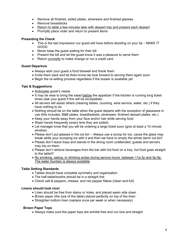- Remove all finished, soiled plates, silverware and finished glasses
- Remove breadsticks
- Return to table a few minutes later with dessert tray and present each dessert
- Promptly place order and return to present items

# **Presenting the Check**

- This is the last impression our quest will have before deciding on your tip MAKE IT GOOD
- Never keep the guest waiting for their bill
- Present the bill and let the guest know it was a pleasure to serve them
- Return promptly to make change or run a credit card

# **Guest Departure**

- Always wish your guest a fond farewell and thank them
- Invite them back and let them know we look forward to serving them again soon
- Begin the re-setting process regardless if the busser is available yet

# **Tips & Suggestions**

- Anticipate guest's needs
- It may be wise to bring the salad before the appetizer if the kitchen is running long ticket times (ask your guest if this will be acceptable)
- All servers will assist others (clearing tables, coursing, wine service, water, etc.) if they have nothing to do
- Nothing should be on the table when the guest departs with the exception of glassware in use (this includes: B&B plates, breadbaskets, silverware, finished dessert plates, etc.)
- Keep your hands away from your face and/or hair while serving food
- Wash hands frequently (every time they are soiled)
- Let manager knoe that you will be ordering a large ticket soon (give at least a 10 minute window)
- Please don't put glasses in the ice bin Always use a scoop for ice, cause the glass may break while your scooping ice with it and then we have to empty the whole damn ice bin!
- Please don't leave trays and stands in the dining room unattended, quests and servers may trip on them.
- Please don't retrieve beverages from the bar with hot food on a tray, hot food goes straight to the table!!!
- No smoking, eating, or drinking sodas during service hours: between 11a-2p and 5p-9p. The water fountain is always available

# **Table Setting Standards**

- Tables should have complete symmetry and organization
- The half-table/booths should be in a straight line
- Check salt & peppers, cheese, and red pepper flakes (clean and full)

# **Linens should look nice!**

- Linen should be free from stains or holes, and placed seam side down
- Brown paper (the size of the table) placed perfectly on top of the linen
- Straighten bottom linen (replace once per week or when necessary)

# **Brown Paper Tops**

Always make sure the paper tops are wrinkle free and cut nice and straight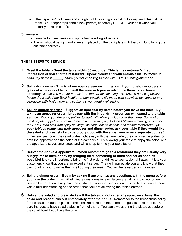If the paper isn't cut clean and straight, fold it over tightly so it looks crisp and clean at the table. Your paper tops should look perfect, especially BEFORE your shift when you actually have time to fix it

#### **Silverware**

- Examine for cleanliness and spots before rolling silverware
- The roll should be tight and even and placed on the bazil plate with the bazil logo facing the customer correctly

# **THE 13 STEPS TO SERVICE**

- 1. **Greet the table - Greet the table within 60 seconds. This is the customer's first impression of you and the restaurant. Speak clearly and with enthusiasm.** *Welcome to Bazil, my name is \_\_\_\_\_, Thank you for choosing to dine with us this evening/afternoon*.
- 2. **Sell a drink order This is where your salesmanship begins. If your customer orders a glass of wine or cocktail - up-sell the wine or liquor or introduce them to our house specialty.** *Would you care for a drink from the bar this evening. We have a house specialty frozen drink called the Bazil Mediterranean Vacation, it's made with strawberries, coconut and pineapple with Malibu rum and vodka, it's wonderfully refreshing!*
- 3. **Sell an appetizer order Suggest an appetizer by name before you leave the table. By taking an appetizer order right away with the initial drink order you will expedite the table service.** *Would you like an appetizer to start with while you look over the menu*. *Some of our most popular appetizers are the fried calamari with spicy Aioli and Marinara dipping sauces or the Bazil Bread Melt with spicy sausage, spinach, ricotta cheese and melted mozzarella. (If your table is ready with their* **appetizer and dinner order, ask your table if they would like the salad and breadsticks to be brought out with the appetizers or as a separate course.)**  If they say yes, bring the salad plates right away with the drink order, they will use the plates for both the appetizer and the salad at the same time. By allowing your table to enjoy the salad with the appetizers saves time, steps and will end up turning your table faster**.**
- 4. **Deliver the drinks & appetizers – When customers go to a restaurant they are usually very hungry, make them happy by bringing them something to drink and eat as soon as possible!** It is very important to bring the first order of drinks to your table right away. It lets your customers know that you are an expedient server. They will appreciate you and know that they can count on you to serve them well during their meal. You will be rewarded in gratuities.
- 5. **Sell the dinner order – Begin by asking if anyone has any questions with the menu before you take the order.** This will eliminate most questions while you are taking individual orders. Remember to repeat everything the customer orders for verification. It's too late to realize there was a misunderstanding on the order once you are delivering the tables entrees.
- 6. **Deliver the salad and breadsticks – If the table did not order any appetizers, bring the salad and breadsticks out immediately after the drinks.** Remember to the breadsticks policy for the exact amount to place in each basket based on the number of guests at your table. Be sure the guests have salad plates in front of them. You can always bring the plates out before the salad bowl if you have the time.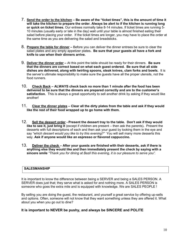- 7. **Send the order to the kitchen – Be aware of the "ticket times", this is the amount of time it will take the kitchen to prepare the order. Always be alert to if the kitchen is running long or quick on ticket times.** Our entrees normally take 8-14 minutes. If ticket times are running 5- 10 minutes (usually early or late in the day) wait until your table is almost finished eating their salad before placing your order. If the ticket times are longer, you may have to place the order at the same time as you are delivering the salad and breadsticks.
- 8. **Prepare the table for dinner –** Before you can deliver the dinner entrees be sure to clear the salad plates and any empty appetizer plates**. Be sure that your guests all have a fork and knife to use when their dinners arrive.**
- 9. **Deliver the dinner order –** At this point the table should be ready for their dinners. **Be sure that the dinners are correct based on what each guest ordered. Be sure that all side dishes are delivered, along with twirling spoons, steak knives, clam forks and bowls.** It is the server's ultimate responsibility to make sure the guests have all the proper utensils, not the food runners.
- 10. **Check Back – ALWAYS check back no more than 1 minute after the food has been delivered to be sure that the dinners are prepared correctly and are to the customer's satisfaction.** This is always a great opportunity to sell another drink by asking if they would like another!
- 11. **Clear the dinner plates – Clear all the dirty plates from the table and ask if they would like the rest of their food wrapped up to go home with them.**
- 12. **Sell the dessert order - Present the dessert tray to the table. Don't ask if they would like to see it, just bring it** (except if children are present – then ask the parents)**.** Present the desserts with full descriptions of each and then ask your guest by looking them in the eye and say *"which dessert would you like to try this evening?"* You will sell many more desserts this way. **Ask if anyone would like an espresso or flavored cappuccino.**
- 13. **Deliver the check – After your guests are finished with their desserts, ask if there is anything else they would like and then immediately present the check by saying with a sincere smile** *"Thank you for dining at Bazil this evening, it is our pleasure to serve you".*

# **SALESMANSHIP**

It is important to know the difference between being a SERVER and being a SALES PERSON. A SERVER does just that; they serve what is asked for and nothing more. A SALES PERSON is someone who goes the extra mile and is equipped with knowledge. We are SALES PEOPLE !

By selling you are doing the guest, the restaurant, and yourself a great service by offering up-sells and options. Often, someone will not know that they want something unless they are offered it. What about you when you go out to dine?

# **It is important to NEVER be pushy, and always be SINCERE and POLITE**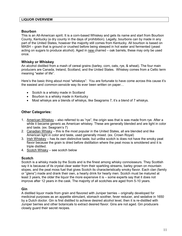# **Bourbon**

This is an All-American spirit. It is a corn-based Whiskey and gets its name and start from Bourbon County, Kentucky (a dry county in the days of prohibition). Legally, bourbons can by made in any part of the United States, however the majority still comes from Kentucky. All bourbon is based on MASH – grain that is ground or crushed before being steeped in hot water and fermented (yeast acting on sugars to produce alcohol). Aged in new charred – oak barrels, these may only be used once.

# **Whisky or Whiskey**

An alcohol distilled from a mash of cereal grains (barley, corn, oats, rye, & wheat). The four main producers are Canada, Ireland, Scotland, and the United States. Whiskey comes from a Celtic term meaning "water of life".

Here's the basic thing about most "whiskeys": You are fortunate to have come across this cause it's the easiest and *common-sensicle* way its ever been written on paper…

- Scotch is a whisky made in Scotland
- Bourbon is a whisky made in Kentucky
- Most whiskys are a blends of whiskys, like Seagrams 7, it's a blend of 7 whiskys.

# **Other Categories:**

- 1. American Whiskey also referred to as "rye", the origin was that is was made from rye. After a while it became generic as American whiskey. These are generally blended and are light in color and taste. (ex. Seagram's 7)
- 2. Canadian Whisky this is the most popular in the United States, all are blended and like American light in color and taste, used generally mixed. (ex. Crown Royal)
- 3. Irish Whiskey has its own distinctive taste, but unlike scotch is does not have the smoky peat flavor because the grain is dried before distillation where the peat moss is smoldered and it is triple distilled.
- 4. Scotch Whisky see scotch below

# **Scotch**

Scotch is a whisky made by the Scots and is the finest among whisky connoisseurs. They Scottish say it is because of its crystal clear water from their sparkling streams, barley grown on mountain slopes, and the peat moss fuel that gives Scotch its characteristically smoky flavor. Each clan (family or "glens") made and drank their own, a hearty drink for hearty men. Scotch must be matured at least 3 years, the older the liquor the more expensive it is – some experts say that it does not improve after 12 years in the cask. The majority of all scotches are aged from 5-10 years.

# **Gin**

A distilled liquor made from grain and flavored with Juniper berries – originally developed for medicinal purposes as an appetite stimulant, stomach soother, fever reducer, and sedative in 1650 by a Dutch doctor. Gin is first distilled to achieve desired alcohol level, then it is re-distilled with Juniper berries and other botanicals to extract desired flavor. Gins are not aged. Gin producers closely guard their secret recipes.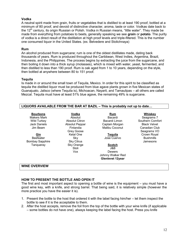# **Vodka**

A neutral spirit made from grain, fruits or vegetables that is distilled to at least 190 proof, bottled at a minimum of 80 proof, and devoid of distinctive character, aroma, taste or color. Vodkas date back to the 12<sup>th</sup> century, its origin Russian or Polish. Vodka in Russian means, "little water". They made be made from everything from potatoes to beets, generally speaking we see **grain** or **potato**. The purity of vodka is a direct result of the distillation at high proof levels and triple-filtered. This is the number one consumed liquor in the United States. (ex. Belvedere and Stolichnaya)

# **Rum**

An alcohol produced from sugarcane; rum is one of the oldest distillates made, dating back thousands of years. Rum is produced throughout the Caribbean, West Indies, Argentina, Brazil, Indonesia, and the Philippines. The process begins by extracting the juice from the sugarcane, and then boiling it down into a thick syrup (molasses), which is mixed with water, yeast, fermented, and then distilled to less than 190 proof. Rum is oak aged from 1 to 10 years, depending on the style, then bottled at anywhere between 80 to 151 proof.

# **Tequila**

Is made in or around the small town of Tequila, Mexico. In order for this spirit to be classified as tequila the distilled liquor must be produced from blue agave plants grown in five Mexican states of Guanajuato, Jalisco (where Tequila is), Michoacan, Nayarit, and Tamaulipas – all others are called Mezcal. Tequila must have at least 51% blue agave, the remaining 49% is sugarcane.

| LIQUORS AVAILABLE FROM THE BAR AT BAZIL - This is probably not up to date |                   |                         |                     |  |  |
|---------------------------------------------------------------------------|-------------------|-------------------------|---------------------|--|--|
|                                                                           |                   |                         |                     |  |  |
| <b>Bourbons</b>                                                           | Vodka             | Rum                     | Whiskey             |  |  |
| <b>Makers Mark</b>                                                        | Absolut           | Bacardi                 | Seagrams 7          |  |  |
| <b>Wild Turkey</b>                                                        | Absolut Citron    | Bacardi Limon           | Southern Comfort    |  |  |
| Jack Daniels                                                              | Absolut Peppar    | Captain Morgan          | <b>Black Velvet</b> |  |  |
| Jim Beam                                                                  | <b>Finlandia</b>  | Malibu Coconut          | Canadian Club       |  |  |
|                                                                           | Grey Goose        |                         | Seagrams VO         |  |  |
| Gin                                                                       | Ketal One         | Tequila                 | Crown Royal         |  |  |
| <b>Beefeater</b>                                                          | Sky               | Jose Cuervo             | <b>Bushmills</b>    |  |  |
| <b>Bombay Sapphire</b>                                                    | <b>Sky Citrus</b> |                         | Jamesons            |  |  |
| Tanqueray                                                                 | Sky Orange        | <b>Scotch</b>           |                     |  |  |
|                                                                           | Stoli             | J&B.                    |                     |  |  |
|                                                                           | Vox               | Dewers                  |                     |  |  |
|                                                                           |                   | Johnny Walker Red       |                     |  |  |
|                                                                           |                   | <b>Glenlevet 12year</b> |                     |  |  |
|                                                                           |                   |                         |                     |  |  |
| <b>WINE OVERVIEW</b>                                                      |                   |                         |                     |  |  |

# **HOW TO PRESENT THE BOTTLE AND OPEN IT**

The first and most important aspect to opening a bottle of wine is the equipment – you must have a good wine key, with a knife, and strong barrel. That being said, it is relatively simple (however the more practice you have the easier it is).

- 1. Present the bottle to the host that ordered it with the label facing him/her let them inspect the bottle to see if it is the acceptable to them.
- 2. After the host accepts, remove the foil from the top of the bottle with your wine knife (if applicable – some bottles do not have one), always keeping the label facing the host. Press you knife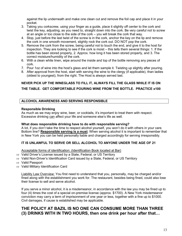against the lip underneath and make one clean cut and remove the foil cap and place it in your pocket.

- 3. Taking you corkscrew, using your finger as a guide, place it slightly off center to the cork and twist the key, adjusting, as you need to, straight down into the cork. Be very careful not to screw at an angle or too close to the side of the cork – you will break the cork that way.
- 4. Stop, just before the last twist of the screw is in the cork, anchor the key on the lip and remove the cork in one smooth movement, slightly rock the cork out. DO NOT pop the cork.
- 5. Remove the cork from the screw, being careful not to touch the end, and give it to the host for inspection. They are looking to see if the cork is moist – this tells them several things: 1. If the bottle has been stored properly, 2. Approx. how long it has been stored properly, and 3. The correct moisture/humidity of the cork.
- 6. With a clean white linen, wipe around the inside and top of the bottle removing any pieces of cork.
- 7. Pour 1oz of wine into the host's glass and let them sample it. Twisting up slightly after pouring.
- 8. After approval from the host, start with serving the wine to the clergy (if applicable), than ladies (oldest to youngest), from the right. The Host is always served last.

# **NEVER PICK UP THE WINEGLASS TO FILL IT, ALWAYS FILL THE GLASS WHILE IT IS ON THE TABLE. GET COMFORTABLE POURING WINE FROM THE BOTTLE. PRACTICE x100**

# **ALCOHOL AWARENESS AND SERVING RESPONSIBLE**

# **Responsible Drinking**

As much as we may enjoy wine, beer, or cocktails, it's important to treat them with respect. Excessive drinking can affect your life and someone else's life as well.

# **What does responsible drinking have to do with responsible serving?**

A lot, if you don't take the time to respect alcohol yourself, you won't do it with others in your care. Bottom line? **Responsible serving is a must**. When serving alcohol it is important to remember that in New York you can be held personally liable and charged accordingly for serving irresponsibly.

# **IT IS UNLAWFUL TO SERVE OR SELL ALCOHOL TO ANYONE UNDER THE AGE OF 21**

Acceptable forms of identification: (Identification Book located at Bar)

- $\Rightarrow$  Valid Driver's License issued by a State, Federal, or US Territory
- $\Rightarrow$  Valid Non-Driver's Identification Card issued by a State, Federal, or US Territory
- $\Rightarrow$  Valid Passport
- $\Rightarrow$  Valid Military Identification Card

Liability Law Overview: You first need to understand that you, personally, may be charged and/or fined along with the establishment you work for. The restaurant, besides being fined, could also lose their license to sell and serve alcohol.

If you serve a minor alcohol, it is a misdemeanor, in accordance with the law you may be fined up to four (4) times the cost of a special on-premise license (approx. \$1700). A New York misdemeanor conviction may carry a term of imprisonment of one year or less, together with a fine up to \$1000. Civil damages, if cause is established may be applicable.

# **THE POLICY AT BAZIL IS NO ONE CAN CONSUME MORE THAN THREE (3) DRINKS WITH IN TWO HOURS, then one drink per hour after that…**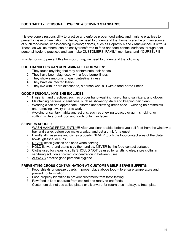# **FOOD SAFETY, PERSONAL HYGIENE & SERVING STANDARDS**

It is everyone's responsibility to practice and enforce proper food safety and hygiene practices to prevent cross-contamination. To begin, we need to understand that humans are the primary source of such food-borne illness-causing microorganisms, such as Hepatitis A and *Staphylococcus aureus*. These, as well as others, can be easily transferred to food and food-contact surfaces through poor personal hygiene practices and can make CUSTOMERS, FAMILY members, and YOURSELF ill.

In order for us to prevent this from occurring, we need to understand the following:

# **FOOD HANDLERS CAN CONTAMINATE FOOD WHEN**:

- 1. They touch anything that may contaminate their hands
- 2. They have been diagnosed with a food-borne illness
- 3. They show symptoms of gastrointestinal illness
- 4. They have an infected lesion
- 5. They live with, or are exposed to, a person who is ill with a food-borne illness

# **GOOD PERSONAL HYGIENE INCLUDES**:

- 1. Hygienic hand practices; such as proper hand-washing, use of hand sanitizers, and gloves
- 2. Maintaining personal cleanliness, such as showering daily and keeping hair clean
- 3. Wearing clean and appropriate uniforms and following dress code wearing hair restraints and removing jewelry prior to work
- 4. Avoiding unsanitary habits and actions, such as chewing tobacco or gum, smoking, or spitting while around food and food-contact surfaces

# **SERVERS SHOULD**:

- 1. WASH HANDS FREQUENTLY!!! After you clear a table, before you pull food from the window to tray and serve, before you make a salad, and get a drink for a guest
- 2. Handle all glassware and dishes properly; NEVER touch the food-contact area of the plate, bowls, glasses, or cups
- 3. NEVER stack glasses or dishes when serving
- 4. HOLD flatware and utensils by the handles, NEVER by the food-contact surfaces
- 5. Cloths used for cleaning spills **SHOULD NOT** be used for anything else, store cloths in sanitizing solution at correct concentration in between uses
- 6. ALWAYS practice good personal hygiene

# **PREVENTING CROSS-CONTAMINATION AT CUSTOMER SELF-SERVE BUFFETS:**

- 1. Food shields or sneeze guards in proper place above food to ensure temperature and prevent contamination
- 2. Food properly identified to prevent customers from taste testing
- 3. Raw food is kept separate from cooked and ready-to-eat foods
- 4. Customers do not use soiled plates or silverware for return trips always a fresh plate